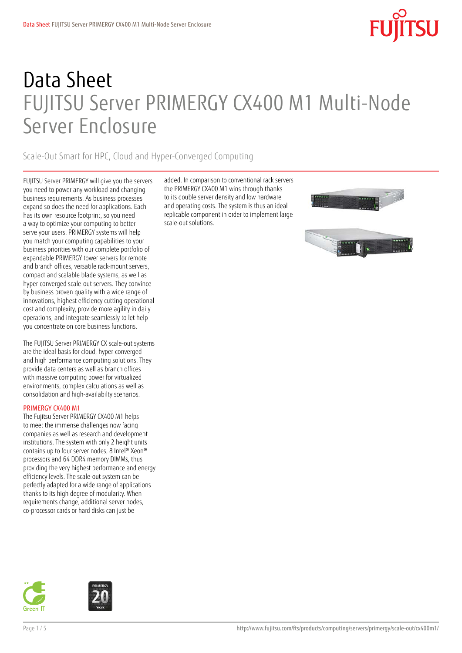# Data Sheet FUJITSU Server PRIMERGY CX400 M1 Multi-Node Server Enclosure

### Scale-Out Smart for HPC, Cloud and Hyper-Converged Computing

FUJITSU Server PRIMERGY will give you the servers you need to power any workload and changing business requirements. As business processes expand so does the need for applications. Each has its own resource footprint, so you need a way to optimize your computing to better serve your users. PRIMERGY systems will help you match your computing capabilities to your business priorities with our complete portfolio of expandable PRIMERGY tower servers for remote and branch offices, versatile rack-mount servers, compact and scalable blade systems, as well as hyper-converged scale-out servers. They convince by business proven quality with a wide range of innovations, highest efficiency cutting operational cost and complexity, provide more agility in daily operations, and integrate seamlessly to let help you concentrate on core business functions.

The FUJITSU Server PRIMERGY CX scale-out systems are the ideal basis for cloud, hyper-converged and high performance computing solutions. They provide data centers as well as branch offices with massive computing power for virtualized environments, complex calculations as well as consolidation and high-availabilty scenarios.

### PRIMERGY CX400 M1

The Fujitsu Server PRIMERGY CX400 M1 helps to meet the immense challenges now facing companies as well as research and development institutions. The system with only 2 height units contains up to four server nodes, 8 Intel® Xeon® processors and 64 DDR4 memory DIMMs, thus providing the very highest performance and energy efficiency levels. The scale-out system can be perfectly adapted for a wide range of applications thanks to its high degree of modularity. When requirements change, additional server nodes, co-processor cards or hard disks can just be

added. In comparison to conventional rack servers the PRIMERGY CX400 M1 wins through thanks to its double server density and low hardware and operating costs. The system is thus an ideal replicable component in order to implement large scale-out solutions.





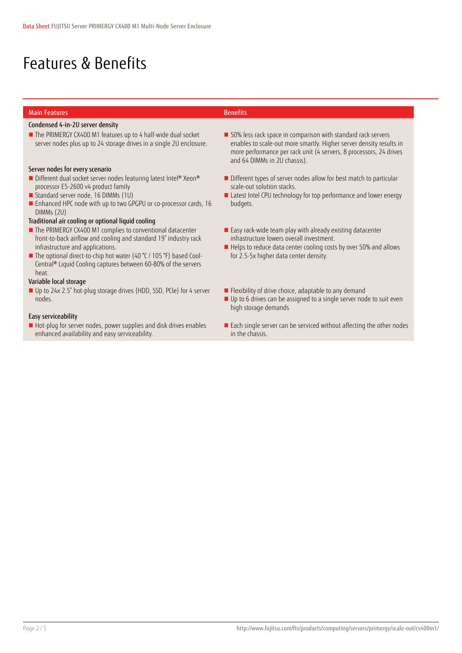## Features & Benefits

### Main Features **Benefits**

### Condensed 4-in-2U server density

■ The PRIMERGY CX400 M1 features up to 4 half-wide dual socket server nodes plus up to 24 storage drives in a single 2U enclosure.

### Server nodes for every scenario

- Different dual socket server nodes featuring latest Intel® Xeon® processor E5-2600 v4 product family
- Standard server node, 16 DIMMs (1U)
- **Enhanced HPC node with up to two GPGPU or co-processor cards, 16** DIMMs (2U)

### Traditional air cooling or optional liquid cooling

- The PRIMERGY CX400 M1 complies to conventional datacenter front-to-back airflow and cooling and standard 19" industry rack infrastructure and applications.
- The optional direct-to-chip hot water (40 °C / 105 °F) based Cool-Central® Liquid Cooling captures between 60-80% of the servers heat.

### Variable local storage

■ Up to 24x 2.5" hot-plug storage drives (HDD, SSD, PCIe) for 4 server nodes.

### Easy serviceability

Hot-plug for server nodes, power supplies and disk drives enables enhanced availability and easy serviceability.

- 50% less rack space in comparison with standard rack servers enables to scale-out more smartly. Higher server density results in more performance per rack unit (4 servers, 8 processors, 24 drives and 64 DIMMs in 2U chassis).
- Different types of server nodes allow for best match to particular scale-out solution stacks.
- Latest Intel CPU technology for top performance and lower energy budgets.
- Easy rack-wide team play with already existing datacenter infrastructure lowers overall investment.
- Helps to reduce data center cooling costs by over 50% and allows for 2.5-5x higher data center density.
- **Flexibility of drive choice, adaptable to any demand**
- Up to 6 drives can be assigned to a single server node to suit even high storage demands
- Each single server can be serviced without affecting the other nodes in the chassis.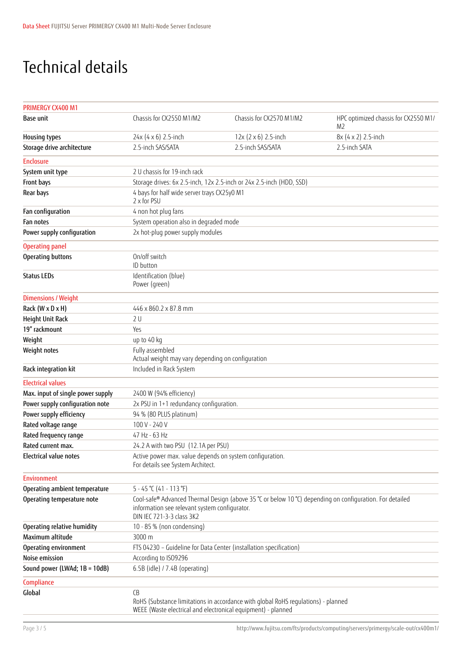## Technical details

| PRIMERGY CX400 M1                 |                                                                                                                                                                                        |                             |                                                        |  |  |  |
|-----------------------------------|----------------------------------------------------------------------------------------------------------------------------------------------------------------------------------------|-----------------------------|--------------------------------------------------------|--|--|--|
| <b>Base unit</b>                  | Chassis for CX2550 M1/M2                                                                                                                                                               | Chassis for CX2570 M1/M2    | HPC optimized chassis for CX2550 M1/<br>M <sub>2</sub> |  |  |  |
| <b>Housing types</b>              | 24x (4 x 6) 2.5-inch                                                                                                                                                                   | $12x (2 \times 6)$ 2.5-inch | 8x (4 x 2) 2.5-inch                                    |  |  |  |
| Storage drive architecture        | 2.5-inch SAS/SATA                                                                                                                                                                      | 2.5-inch SAS/SATA           | 2.5-inch SATA                                          |  |  |  |
| <b>Enclosure</b>                  |                                                                                                                                                                                        |                             |                                                        |  |  |  |
| System unit type                  | 2 U chassis for 19-inch rack                                                                                                                                                           |                             |                                                        |  |  |  |
| Front bays                        | Storage drives: 6x 2.5-inch, 12x 2.5-inch or 24x 2.5-inch (HDD, SSD)                                                                                                                   |                             |                                                        |  |  |  |
| Rear bays                         | 4 bays for half wide server trays CX25y0 M1<br>2 x for PSU                                                                                                                             |                             |                                                        |  |  |  |
| Fan configuration                 | 4 non hot plug fans                                                                                                                                                                    |                             |                                                        |  |  |  |
| Fan notes                         | System operation also in degraded mode                                                                                                                                                 |                             |                                                        |  |  |  |
| Power supply configuration        | 2x hot-plug power supply modules                                                                                                                                                       |                             |                                                        |  |  |  |
| <b>Operating panel</b>            |                                                                                                                                                                                        |                             |                                                        |  |  |  |
| Operating buttons                 | On/off switch<br>ID button                                                                                                                                                             |                             |                                                        |  |  |  |
| <b>Status LEDs</b>                | Identification (blue)<br>Power (green)                                                                                                                                                 |                             |                                                        |  |  |  |
| <b>Dimensions / Weight</b>        |                                                                                                                                                                                        |                             |                                                        |  |  |  |
| Rack (W x D x H)                  | 446 x 860.2 x 87.8 mm                                                                                                                                                                  |                             |                                                        |  |  |  |
| Height Unit Rack                  | 2U                                                                                                                                                                                     |                             |                                                        |  |  |  |
| 19" rackmount                     | Yes                                                                                                                                                                                    |                             |                                                        |  |  |  |
| Weight                            | up to 40 kg                                                                                                                                                                            |                             |                                                        |  |  |  |
| Weight notes                      | Fully assembled<br>Actual weight may vary depending on configuration                                                                                                                   |                             |                                                        |  |  |  |
| Rack integration kit              | Included in Rack System                                                                                                                                                                |                             |                                                        |  |  |  |
| <b>Electrical values</b>          |                                                                                                                                                                                        |                             |                                                        |  |  |  |
| Max. input of single power supply | 2400 W (94% efficiency)                                                                                                                                                                |                             |                                                        |  |  |  |
| Power supply configuration note   | 2x PSU in 1+1 redundancy configuration.                                                                                                                                                |                             |                                                        |  |  |  |
| Power supply efficiency           | 94 % (80 PLUS platinum)                                                                                                                                                                |                             |                                                        |  |  |  |
| Rated voltage range               | 100 V - 240 V                                                                                                                                                                          |                             |                                                        |  |  |  |
| Rated frequency range             | 47 Hz - 63 Hz                                                                                                                                                                          |                             |                                                        |  |  |  |
| Rated current max.                | 24.2 A with two PSU (12.1A per PSU)                                                                                                                                                    |                             |                                                        |  |  |  |
| Electrical value notes            | Active power max. value depends on system configuration.<br>For details see System Architect.                                                                                          |                             |                                                        |  |  |  |
| <b>Environment</b>                |                                                                                                                                                                                        |                             |                                                        |  |  |  |
| Operating ambient temperature     | $5 - 45$ °C (41 - 113 °F)                                                                                                                                                              |                             |                                                        |  |  |  |
| Operating temperature note        | Cool-safe® Advanced Thermal Design (above 35 °C or below 10 °C) depending on configuration. For detailed<br>information see relevant system configurator.<br>DIN IEC 721-3-3 class 3K2 |                             |                                                        |  |  |  |
| Operating relative humidity       | 10 - 85 % (non condensing)                                                                                                                                                             |                             |                                                        |  |  |  |
| Maximum altitude                  | 3000 m                                                                                                                                                                                 |                             |                                                        |  |  |  |
| Operating environment             | FTS 04230 - Guideline for Data Center (installation specification)                                                                                                                     |                             |                                                        |  |  |  |
| Noise emission                    | According to ISO9296                                                                                                                                                                   |                             |                                                        |  |  |  |
| Sound power (LWAd; 1B = 10dB)     | 6.5B (idle) / 7.4B (operating)                                                                                                                                                         |                             |                                                        |  |  |  |
| Compliance                        |                                                                                                                                                                                        |                             |                                                        |  |  |  |
| Global                            | CB<br>RoHS (Substance limitations in accordance with global RoHS regulations) - planned<br>WEEE (Waste electrical and electronical equipment) - planned                                |                             |                                                        |  |  |  |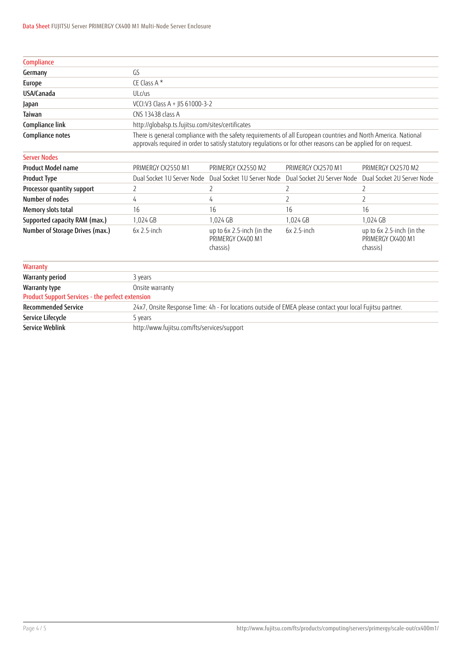| Compliance                                       |                                                                                                                                                                                                                                    |                                                            |                            |                                                            |  |  |
|--------------------------------------------------|------------------------------------------------------------------------------------------------------------------------------------------------------------------------------------------------------------------------------------|------------------------------------------------------------|----------------------------|------------------------------------------------------------|--|--|
| Germany                                          | GS                                                                                                                                                                                                                                 |                                                            |                            |                                                            |  |  |
| Europe                                           | CE Class A*                                                                                                                                                                                                                        |                                                            |                            |                                                            |  |  |
| USA/Canada                                       | ULc/us                                                                                                                                                                                                                             |                                                            |                            |                                                            |  |  |
| Japan                                            | VCCI:V3 Class A + JIS 61000-3-2                                                                                                                                                                                                    |                                                            |                            |                                                            |  |  |
| Taiwan                                           | CNS 13438 class A                                                                                                                                                                                                                  |                                                            |                            |                                                            |  |  |
| Compliance link                                  |                                                                                                                                                                                                                                    | http://qlobalsp.ts.fujitsu.com/sites/certificates          |                            |                                                            |  |  |
| Compliance notes                                 | There is general compliance with the safety requirements of all European countries and North America. National<br>approvals required in order to satisfy statutory regulations or for other reasons can be applied for on request. |                                                            |                            |                                                            |  |  |
| <b>Server Nodes</b>                              |                                                                                                                                                                                                                                    |                                                            |                            |                                                            |  |  |
| <b>Product Model name</b>                        | PRIMERGY CX2550 M1                                                                                                                                                                                                                 | PRIMERGY CX2550 M2                                         | PRIMERGY CX2570 M1         | PRIMERGY CX2570 M2                                         |  |  |
| <b>Product Type</b>                              | Dual Socket 1U Server Node                                                                                                                                                                                                         | Dual Socket 1U Server Node                                 | Dual Socket 2U Server Node | Dual Socket 2U Server Node                                 |  |  |
| Processor quantity support                       | 2                                                                                                                                                                                                                                  | 2                                                          | 2                          | 2                                                          |  |  |
| Number of nodes                                  | 4                                                                                                                                                                                                                                  | 4                                                          | $\overline{2}$             | $\overline{2}$                                             |  |  |
| Memory slots total                               | 16                                                                                                                                                                                                                                 | 16                                                         | 16                         | 16                                                         |  |  |
| Supported capacity RAM (max.)                    | 1,024 GB                                                                                                                                                                                                                           | 1.024 GB                                                   | 1,024 GB                   | 1.024 GB                                                   |  |  |
| Number of Storage Drives (max.)                  | $6x$ 2.5-inch                                                                                                                                                                                                                      | up to 6x 2.5-inch (in the<br>PRIMERGY CX400 M1<br>chassis) | $6x$ 2.5-inch              | up to 6x 2.5-inch (in the<br>PRIMERGY CX400 M1<br>chassis) |  |  |
| Warranty                                         |                                                                                                                                                                                                                                    |                                                            |                            |                                                            |  |  |
| <b>Warranty period</b>                           | 3 years                                                                                                                                                                                                                            |                                                            |                            |                                                            |  |  |
| Warranty type                                    | Onsite warranty                                                                                                                                                                                                                    |                                                            |                            |                                                            |  |  |
| Product Support Services - the perfect extension |                                                                                                                                                                                                                                    |                                                            |                            |                                                            |  |  |
| <b>Recommended Service</b>                       | 24x7, Onsite Response Time: 4h - For locations outside of EMEA please contact your local Fujitsu partner.                                                                                                                          |                                                            |                            |                                                            |  |  |
| Service Lifecycle                                | 5 years                                                                                                                                                                                                                            |                                                            |                            |                                                            |  |  |

Service Weblink http://www.fujitsu.com/fts/services/support